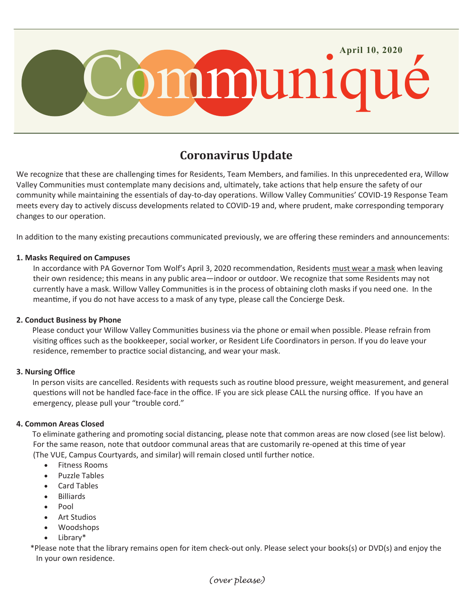

# **Coronavirus Update**

We recognize that these are challenging times for Residents, Team Members, and families. In this unprecedented era, Willow Valley Communities must contemplate many decisions and, ultimately, take actions that help ensure the safety of our community while maintaining the essentials of day-to-day operations. Willow Valley Communities' COVID-19 Response Team meets every day to actively discuss developments related to COVID-19 and, where prudent, make corresponding temporary changes to our operation.

In addition to the many existing precautions communicated previously, we are offering these reminders and announcements:

#### **1. Masks Required on Campuses**

In accordance with PA Governor Tom Wolf's April 3, 2020 recommendation, Residents must wear a mask when leaving their own residence; this means in any public area—indoor or outdoor. We recognize that some Residents may not currently have a mask. Willow Valley Communities is in the process of obtaining cloth masks if you need one. In the meantime, if you do not have access to a mask of any type, please call the Concierge Desk.

### **2. Conduct Business by Phone**

 Please conduct your Willow Valley Communities business via the phone or email when possible. Please refrain from visiting offices such as the bookkeeper, social worker, or Resident Life Coordinators in person. If you do leave your residence, remember to practice social distancing, and wear your mask.

#### **3. Nursing Office**

 In person visits are cancelled. Residents with requests such as routine blood pressure, weight measurement, and general questions will not be handled face-face in the office. IF you are sick please CALL the nursing office. If you have an emergency, please pull your "trouble cord."

### **4. Common Areas Closed**

 To eliminate gathering and promoting social distancing, please note that common areas are now closed (see list below). For the same reason, note that outdoor communal areas that are customarily re-opened at this time of year (The VUE, Campus Courtyards, and similar) will remain closed until further notice.

- Fitness Rooms
- Puzzle Tables
- Card Tables
- Billiards
- Pool
- Art Studios
- Woodshops
- Library\*

\*Please note that the library remains open for item check-out only. Please select your books(s) or DVD(s) and enjoy the In your own residence.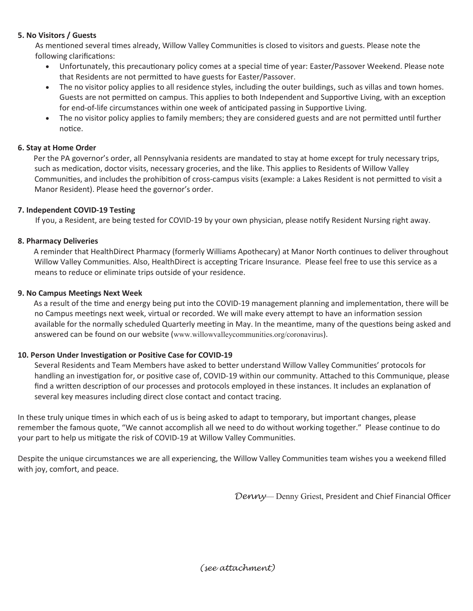## **5. No Visitors / Guests**

As mentioned several times already, Willow Valley Communities is closed to visitors and guests. Please note the following clarifications:

- Unfortunately, this precautionary policy comes at a special time of year: Easter/Passover Weekend. Please note that Residents are not permitted to have guests for Easter/Passover.
- The no visitor policy applies to all residence styles, including the outer buildings, such as villas and town homes. Guests are not permitted on campus. This applies to both Independent and Supportive Living, with an exception for end-of-life circumstances within one week of anticipated passing in Supportive Living.
- The no visitor policy applies to family members; they are considered guests and are not permitted until further notice.

### **6. Stay at Home Order**

 Per the PA governor's order, all Pennsylvania residents are mandated to stay at home except for truly necessary trips, such as medication, doctor visits, necessary groceries, and the like. This applies to Residents of Willow Valley Communities, and includes the prohibition of cross-campus visits (example: a Lakes Resident is not permitted to visit a Manor Resident). Please heed the governor's order.

# **7. Independent COVID-19 Testing**

If you, a Resident, are being tested for COVID-19 by your own physician, please notify Resident Nursing right away.

# **8. Pharmacy Deliveries**

 A reminder that HealthDirect Pharmacy (formerly Williams Apothecary) at Manor North continues to deliver throughout Willow Valley Communities. Also, HealthDirect is accepting Tricare Insurance. Please feel free to use this service as a means to reduce or eliminate trips outside of your residence.

# **9. No Campus Meetings Next Week**

 As a result of the time and energy being put into the COVID-19 management planning and implementation, there will be no Campus meetings next week, virtual or recorded. We will make every attempt to have an information session available for the normally scheduled Quarterly meeting in May. In the meantime, many of the questions being asked and answered can be found on our website ([www.willowvalleycommunities.org/coronavirus](http://www.willowvalleycommunities.org/coronavirus)).

### **10. Person Under Investigation or Positive Case for COVID-19**

Several Residents and Team Members have asked to better understand Willow Valley Communities' protocols for handling an investigation for, or positive case of, COVID-19 within our community. Attached to this Communique, please find a written description of our processes and protocols employed in these instances. It includes an explanation of several key measures including direct close contact and contact tracing.

In these truly unique times in which each of us is being asked to adapt to temporary, but important changes, please remember the famous quote, "We cannot accomplish all we need to do without working together." Please continue to do your part to help us mitigate the risk of COVID-19 at Willow Valley Communities.

Despite the unique circumstances we are all experiencing, the Willow Valley Communities team wishes you a weekend filled with joy, comfort, and peace.

*Denny*— Denny Griest, President and Chief Financial Officer

*(see attachment)*